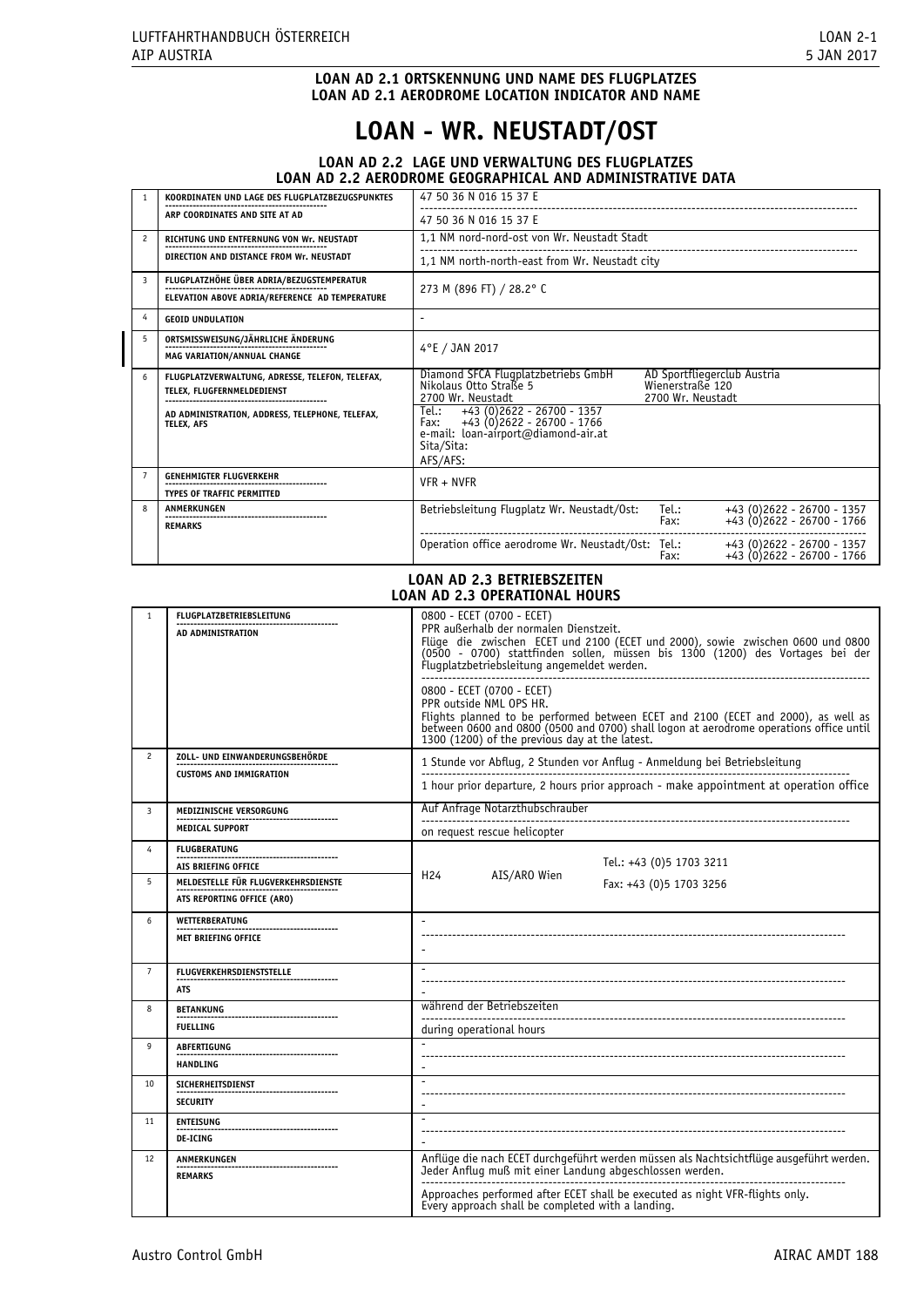# **LOAN AD 2.1 ORTSKENNUNG UND NAME DES FLUGPLATZES LOAN AD 2.1 AERODROME LOCATION INDICATOR AND NAME**

# **LOAN - WR. NEUSTADT/OST**

# **LOAN AD 2.2 LAGE UND VERWALTUNG DES FLUGPLATZES LOAN AD 2.2 AERODROME GEOGRAPHICAL AND ADMINISTRATIVE DATA**

|               | KOORDINATEN UND LAGE DES FLUGPLATZBEZUGSPUNKTES                                             | 47 50 36 N 016 15 37 E                                                                                                                                     |  |
|---------------|---------------------------------------------------------------------------------------------|------------------------------------------------------------------------------------------------------------------------------------------------------------|--|
|               | ARP COORDINATES AND SITE AT AD                                                              | 47 50 36 N 016 15 37 E                                                                                                                                     |  |
| $\mathcal{P}$ | RICHTUNG UND ENTFERNUNG VON Wr. NEUSTADT                                                    | 1,1 NM nord-nord-ost von Wr. Neustadt Stadt                                                                                                                |  |
|               | DIRECTION AND DISTANCE FROM Wr. NEUSTADT                                                    | 1,1 NM north-north-east from Wr. Neustadt city                                                                                                             |  |
| 3             | FLUGPLATZHÖHE ÜBER ADRIA/BEZUGSTEMPERATUR<br>ELEVATION ABOVE ADRIA/REFERENCE AD TEMPERATURE | 273 M (896 FT) / 28.2° C                                                                                                                                   |  |
| 4             | <b>GEOID UNDULATION</b>                                                                     |                                                                                                                                                            |  |
| 5             | ORTSMISSWEISUNG/JÄHRLICHE ÄNDERUNG<br><b>MAG VARIATION/ANNUAL CHANGE</b>                    | 4°E / JAN 2017                                                                                                                                             |  |
| 6             | FLUGPLATZVERWALTUNG, ADRESSE, TELEFON, TELEFAX,<br>TELEX, FLUGFERNMELDEDIENST               | Diamond SFCA Flugplatzbetriebs GmbH<br>AD Sportfliegerclub Austria<br>Nikolaus Otto Straße 5<br>Wienerstraße 120<br>2700 Wr. Neustadt<br>2700 Wr. Neustadt |  |
|               | AD ADMINISTRATION, ADDRESS, TELEPHONE, TELEFAX,<br><b>TELEX. AFS</b>                        | $+43$ (0)2622 - 26700 - 1357<br>Tel.:<br>$+43$ (0)2622 - 26700 - 1766<br>Fax:<br>e-mail: loan-airport@diamond-air.at<br>Sita/Sita:<br>AFS/AFS:             |  |
|               | <b>GENEHMIGTER FLUGVERKEHR</b><br><b>TYPES OF TRAFFIC PERMITTED</b>                         | $VFR + NVFR$                                                                                                                                               |  |
| 8             | ANMERKUNGEN                                                                                 | Tel.:<br>Betriebsleitung Flugplatz Wr. Neustadt/Ost:<br>+43 (0)2622 - 26700 - 1357<br>+43 (0)2622 - 26700 - 1766<br>Fax:                                   |  |
|               | <b>REMARKS</b>                                                                              | Operation office aerodrome Wr. Neustadt/Ost: Tel.:<br>+43 (0)2622 - 26700 - 1357<br>+43 (0) 2622 - 26700 - 1766<br>Fax:                                    |  |

#### **LOAN AD 2.3 BETRIEBSZEITEN LOAN AD 2.3 OPERATIONAL HOURS**

| $\mathbf{1}$   | <b>FLUGPLATZBETRIEBSLEITUNG</b><br>AD ADMINISTRATION | 0800 - ECET (0700 - ECET)<br>PPR außerhalb der normalen Dienstzeit.<br>Flüge die zwischen ECET und 2100 (ECET und 2000), sowie zwischen 0600 und 0800<br>(0500 - 0700) stattfinden sollen, müssen bis 1300 (1200) des Vortages bei der<br>Flugplatzbetriebsleitung angemeldet werden.<br>0800 - ECET (0700 - ECET) |
|----------------|------------------------------------------------------|--------------------------------------------------------------------------------------------------------------------------------------------------------------------------------------------------------------------------------------------------------------------------------------------------------------------|
|                |                                                      | PPR outside NML OPS HR.<br>Flights planned to be performed between ECET and 2100 (ECET and 2000), as well as<br>between 0600 and 0800 (0500 and 0700) shall logon at aerodrome operations office until<br>1300 (1200) of the previous day at the latest.                                                           |
| $\overline{c}$ | ZOLL- UND EINWANDERUNGSBEHÖRDE                       | 1 Stunde vor Abflug, 2 Stunden vor Anflug - Anmeldung bei Betriebsleitung                                                                                                                                                                                                                                          |
|                | <b>CUSTOMS AND IMMIGRATION</b>                       | 1 hour prior departure, 2 hours prior approach - make appointment at operation office                                                                                                                                                                                                                              |
| 3              | MEDIZINISCHE VERSORGUNG                              | Auf Anfrage Notarzthubschrauber                                                                                                                                                                                                                                                                                    |
|                | <b>MEDICAL SUPPORT</b>                               | on request rescue helicopter                                                                                                                                                                                                                                                                                       |
| 4              | <b>FLUGBERATUNG</b><br>AIS BRIEFING OFFICE           | Tel.: +43 (0)5 1703 3211                                                                                                                                                                                                                                                                                           |
| 5              | MELDESTELLE FÜR FLUGVERKEHRSDIENSTE                  | AIS/ARO Wien<br>H <sub>24</sub><br>Fax: +43 (0)5 1703 3256                                                                                                                                                                                                                                                         |
|                | ATS REPORTING OFFICE (ARO)                           |                                                                                                                                                                                                                                                                                                                    |
| 6              | <b>WETTERBERATUNG</b><br><b>MET BRIEFING OFFICE</b>  |                                                                                                                                                                                                                                                                                                                    |
| $\overline{7}$ | <b>FLUGVERKEHRSDIENSTSTELLE</b><br><b>ATS</b>        |                                                                                                                                                                                                                                                                                                                    |
| 8              | <b>BETANKUNG</b>                                     | während der Betriebszeiten                                                                                                                                                                                                                                                                                         |
|                | <b>FUELLING</b>                                      | during operational hours                                                                                                                                                                                                                                                                                           |
| 9              | <b>ABFERTIGUNG</b><br><b>HANDLING</b>                |                                                                                                                                                                                                                                                                                                                    |
| 10             | <b>SICHERHEITSDIENST</b>                             |                                                                                                                                                                                                                                                                                                                    |
|                | <b>SECURITY</b>                                      | $\overline{\phantom{a}}$                                                                                                                                                                                                                                                                                           |
| 11             | <b>ENTEISUNG</b><br><b>DE-ICING</b>                  |                                                                                                                                                                                                                                                                                                                    |
| 12             | ANMERKUNGEN<br><b>REMARKS</b>                        | Anflüge die nach ECET durchgeführt werden müssen als Nachtsichtflüge ausgeführt werden.<br>Jeder Anflug muß mit einer Landung abgeschlossen werden.                                                                                                                                                                |
|                |                                                      | Approaches performed after ECET shall be executed as night VFR-flights only.<br>Every approach shall be completed with a landing.                                                                                                                                                                                  |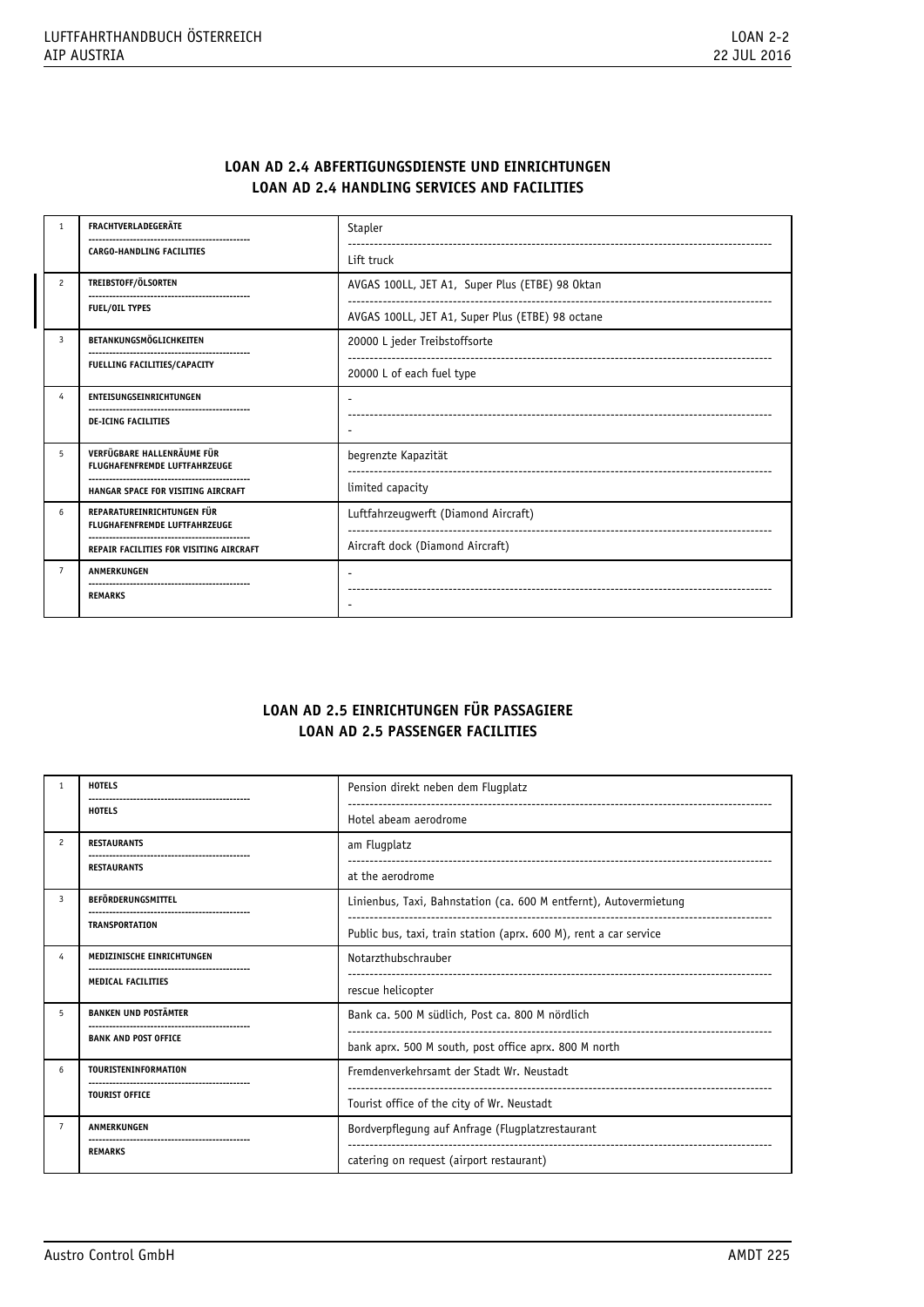# **LOAN AD 2.4 ABFERTIGUNGSDIENSTE UND EINRICHTUNGEN LOAN AD 2.4 HANDLING SERVICES AND FACILITIES**

| $\mathbf{1}$   | <b>FRACHTVERLADEGERÄTE</b>                                         | Stapler                                          |
|----------------|--------------------------------------------------------------------|--------------------------------------------------|
|                | <b>CARGO-HANDLING FACILITIES</b>                                   | Lift truck                                       |
| $\overline{c}$ | TREIBSTOFF/ÖLSORTEN                                                | AVGAS 100LL, JET A1, Super Plus (ETBE) 98 Oktan  |
|                | <b>FUEL/OIL TYPES</b>                                              | AVGAS 100LL, JET A1, Super Plus (ETBE) 98 octane |
| 3              | BETANKUNGSMÖGLICHKEITEN                                            | 20000 L jeder Treibstoffsorte                    |
|                | FUELLING FACILITIES/CAPACITY                                       | 20000 L of each fuel type                        |
| 4              | <b>ENTEISUNGSEINRICHTUNGEN</b>                                     |                                                  |
|                | <b>DE-ICING FACILITIES</b>                                         |                                                  |
| 5              | VERFÜGBARE HALLENRÄUME FÜR<br><b>FLUGHAFENFREMDE LUFTFAHRZEUGE</b> | begrenzte Kapazität                              |
|                | HANGAR SPACE FOR VISITING AIRCRAFT                                 | limited capacity                                 |
| 6              | REPARATUREINRICHTUNGEN FÜR<br><b>FLUGHAFENFREMDE LUFTFAHRZEUGE</b> | Luftfahrzeugwerft (Diamond Aircraft)             |
|                | REPAIR FACILITIES FOR VISITING AIRCRAFT                            | Aircraft dock (Diamond Aircraft)                 |
| $\overline{7}$ | ANMERKUNGEN                                                        |                                                  |
|                | <br><b>REMARKS</b>                                                 |                                                  |

# **LOAN AD 2.5 EINRICHTUNGEN FÜR PASSAGIERE LOAN AD 2.5 PASSENGER FACILITIES**

| $\mathbf{1}$   | <b>HOTELS</b><br>-------------------------------- | Pension direkt neben dem Flugplatz                                |
|----------------|---------------------------------------------------|-------------------------------------------------------------------|
|                | <b>HOTELS</b>                                     | Hotel abeam aerodrome                                             |
| $\overline{c}$ | <b>RESTAURANTS</b>                                | am Flugplatz                                                      |
|                | <b>RESTAURANTS</b>                                | at the aerodrome                                                  |
| 3              | BEFÖRDERUNGSMITTEL                                | Linienbus, Taxi, Bahnstation (ca. 600 M entfernt), Autovermietung |
|                | <b>TRANSPORTATION</b>                             | Public bus, taxi, train station (aprx. 600 M), rent a car service |
| $\overline{4}$ | MEDIZINISCHE EINRICHTUNGEN                        | Notarzthubschrauber                                               |
|                | <b>MEDICAL FACILITIES</b>                         | rescue helicopter                                                 |
| 5              | <b>BANKEN UND POSTÄMTER</b>                       | Bank ca. 500 M südlich, Post ca. 800 M nördlich                   |
|                | <b>BANK AND POST OFFICE</b>                       | bank aprx. 500 M south, post office aprx. 800 M north             |
| 6              | TOURISTENINFORMATION                              | Fremdenverkehrsamt der Stadt Wr. Neustadt                         |
|                | <b>TOURIST OFFICE</b>                             | Tourist office of the city of Wr. Neustadt                        |
| $\overline{7}$ | ANMERKUNGEN                                       | Bordverpflegung auf Anfrage (Flugplatzrestaurant                  |
|                | <b>REMARKS</b>                                    | catering on request (airport restaurant)                          |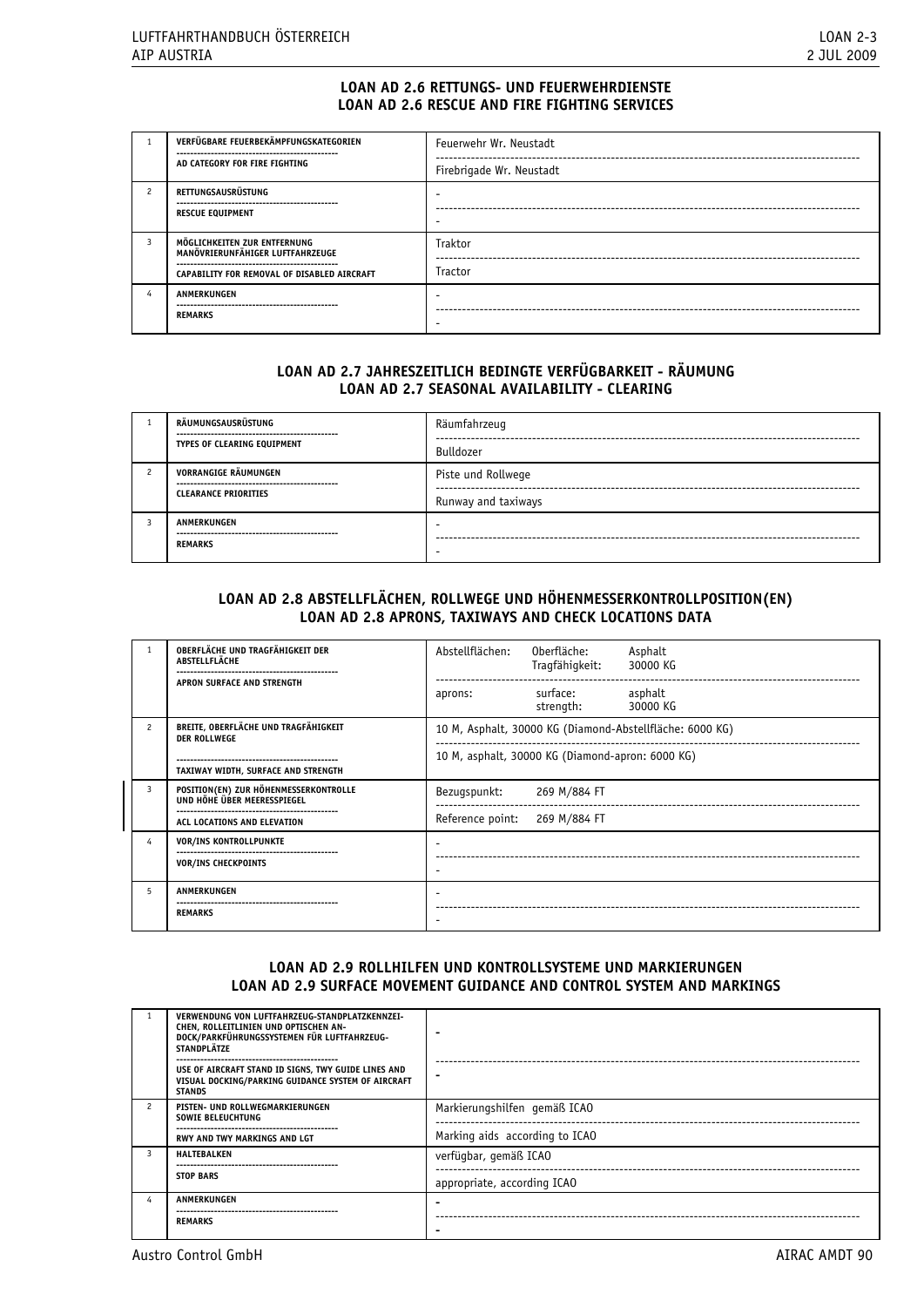# **LOAN AD 2.6 RETTUNGS- UND FEUERWEHRDIENSTE LOAN AD 2.6 RESCUE AND FIRE FIGHTING SERVICES**

|   | VERFÜGBARE FEUERBEKÄMPFUNGSKATEGORIEN                            | Feuerwehr Wr. Neustadt   |  |
|---|------------------------------------------------------------------|--------------------------|--|
|   | AD CATEGORY FOR FIRE FIGHTING                                    | Firebrigade Wr. Neustadt |  |
|   | RETTUNGSAUSRÜSTUNG                                               |                          |  |
|   | <b>RESCUE EQUIPMENT</b>                                          |                          |  |
| 3 | MÖGLICHKEITEN ZUR ENTFERNUNG<br>MANÖVRIERUNFÄHIGER LUFTFAHRZEUGE | Traktor                  |  |
|   | CAPABILITY FOR REMOVAL OF DISABLED AIRCRAFT                      | <b>Tractor</b>           |  |
|   | ANMERKUNGEN                                                      |                          |  |
|   | <b>REMARKS</b>                                                   |                          |  |

# **LOAN AD 2.7 JAHRESZEITLICH BEDINGTE VERFÜGBARKEIT - RÄUMUNG LOAN AD 2.7 SEASONAL AVAILABILITY - CLEARING**

| RÄUMUNGSAUSRÜSTUNG<br>---------------------------------<br>TYPES OF CLEARING EQUIPMENT | Räumfahrzeug<br>Bulldozer                 |
|----------------------------------------------------------------------------------------|-------------------------------------------|
| VORRANGIGE RÄUMUNGEN<br><br><b>CLEARANCE PRIORITIES</b>                                | Piste und Rollwege<br>Runway and taxiways |
| <b>ANMERKUNGEN</b><br>--------------------------------<br><b>REMARKS</b>               |                                           |

# **LOAN AD 2.8 ABSTELLFLÄCHEN, ROLLWEGE UND HÖHENMESSERKONTROLLPOSITION(EN) LOAN AD 2.8 APRONS, TAXIWAYS AND CHECK LOCATIONS DATA**

|                                                                                                                                                     | OBERFLÄCHE UND TRAGFÄHIGKEIT DER<br>ABSTELLFLÄCHE                    | Abstellflächen:  | Oberfläche:<br>Tragfähigkeit:                    | Asphalt<br>30000 KG |
|-----------------------------------------------------------------------------------------------------------------------------------------------------|----------------------------------------------------------------------|------------------|--------------------------------------------------|---------------------|
|                                                                                                                                                     | APRON SURFACE AND STRENGTH                                           | aprons:          | surface:<br>strength:                            | asphalt<br>30000 KG |
| BREITE, OBERFLÄCHE UND TRAGFÄHIGKEIT<br>$\overline{\phantom{a}}$<br>10 M, Asphalt, 30000 KG (Diamond-Abstellfläche: 6000 KG)<br><b>DER ROLLWEGE</b> |                                                                      |                  |                                                  |                     |
|                                                                                                                                                     |                                                                      |                  | 10 M, asphalt, 30000 KG (Diamond-apron: 6000 KG) |                     |
|                                                                                                                                                     | TAXIWAY WIDTH, SURFACE AND STRENGTH                                  |                  |                                                  |                     |
| 3                                                                                                                                                   | POSITION(EN) ZUR HÖHENMESSERKONTROLLE<br>UND HÖHE ÜBER MEERESSPIEGEL | Bezugspunkt:     | 269 M/884 FT                                     |                     |
|                                                                                                                                                     | ACL LOCATIONS AND ELEVATION                                          | Reference point: | 269 M/884 FT                                     |                     |
| 4                                                                                                                                                   | <b>VOR/INS KONTROLLPUNKTE</b>                                        |                  |                                                  |                     |
|                                                                                                                                                     | <b>VOR/INS CHECKPOINTS</b>                                           |                  |                                                  |                     |
| 5                                                                                                                                                   | <b>ANMERKUNGEN</b><br><b>REMARKS</b>                                 |                  |                                                  |                     |

# **LOAN AD 2.9 ROLLHILFEN UND KONTROLLSYSTEME UND MARKIERUNGEN LOAN AD 2.9 SURFACE MOVEMENT GUIDANCE AND CONTROL SYSTEM AND MARKINGS**

|               | VERWENDUNG VON LUFTFAHRZEUG-STANDPLATZKENNZEI-<br>CHEN, ROLLEITLINIEN UND OPTISCHEN AN-<br>DOCK/PARKFÜHRUNGSSYSTEMEN FÜR LUFTFAHRZEUG-<br><b>STANDPLÄTZE</b> |                                |
|---------------|--------------------------------------------------------------------------------------------------------------------------------------------------------------|--------------------------------|
|               | USE OF AIRCRAFT STAND ID SIGNS, TWY GUIDE LINES AND<br>VISUAL DOCKING/PARKING GUIDANCE SYSTEM OF AIRCRAFT<br><b>STANDS</b>                                   |                                |
| $\mathcal{P}$ | PISTEN- UND ROLLWEGMARKIERUNGEN<br><b>SOWIE BELEUCHTUNG</b>                                                                                                  | Markierungshilfen gemäß ICAO   |
|               | <b>RWY AND TWY MARKINGS AND LGT</b>                                                                                                                          | Marking aids according to ICAO |
|               | <b>HALTEBALKEN</b>                                                                                                                                           | verfügbar, gemäß ICAO          |
|               | <b>STOP BARS</b>                                                                                                                                             | appropriate, according ICAO    |
| 4             | ANMERKUNGEN                                                                                                                                                  |                                |
|               | <b>REMARKS</b>                                                                                                                                               |                                |

Austro Control GmbH AIRAC AMDT 90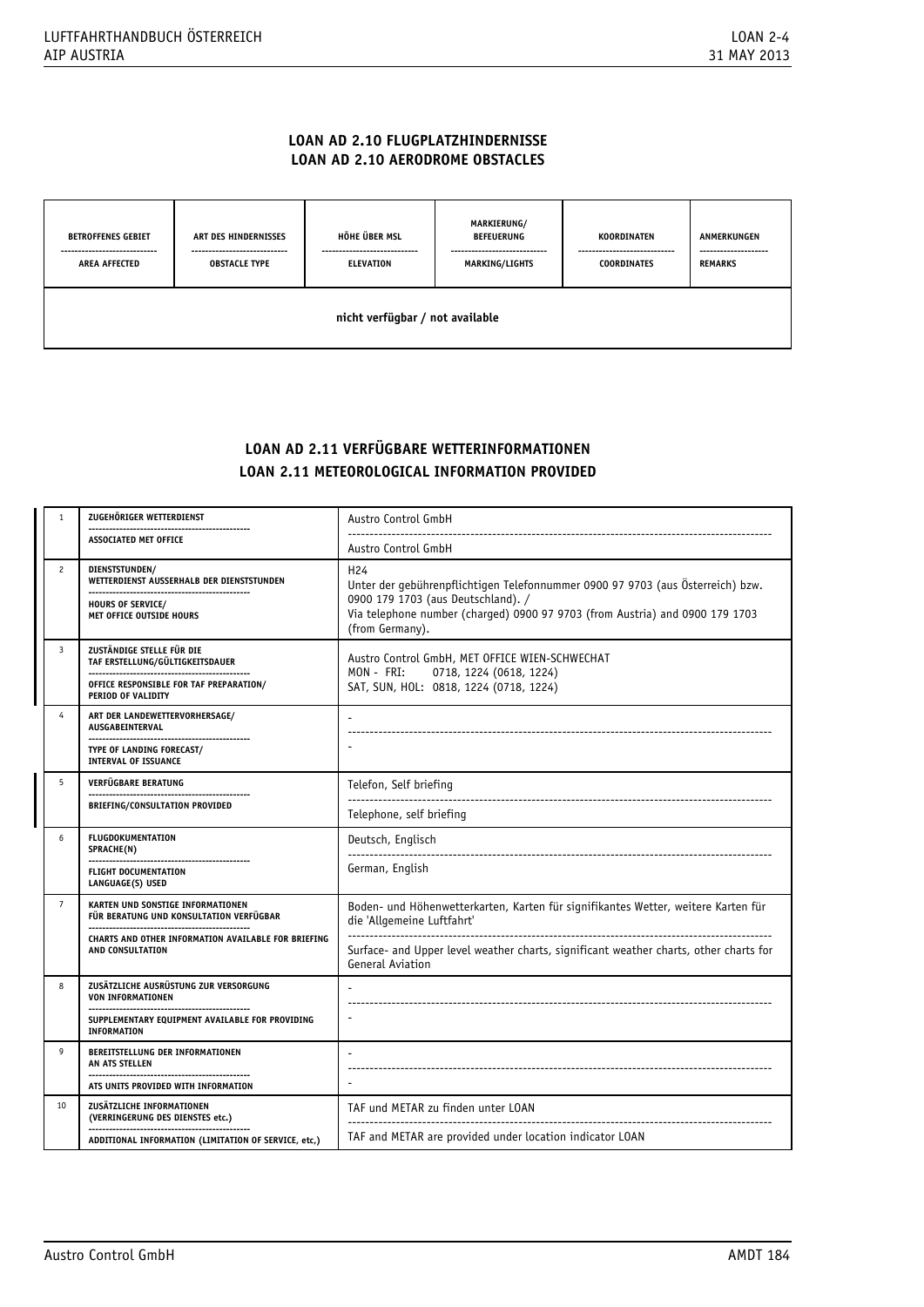# **LOAN AD 2.10 FLUGPLATZHINDERNISSE LOAN AD 2.10 AERODROME OBSTACLES**

| <b>BETROFFENES GEBIET</b><br>----------------------------<br><b>AREA AFFECTED</b> | ART DES HINDERNISSES<br>----------------------------<br><b>OBSTACLE TYPE</b> | HÖHE ÜBER MSL<br>----------------------------<br><b>ELEVATION</b> | <b>MARKIERUNG/</b><br><b>BEFEUERUNG</b><br>----------------------------<br>MARKING/LIGHTS | KOORDINATEN<br>-----------------------------<br><b>COORDINATES</b> | ANMERKUNGEN<br>--------------------<br><b>REMARKS</b> |
|-----------------------------------------------------------------------------------|------------------------------------------------------------------------------|-------------------------------------------------------------------|-------------------------------------------------------------------------------------------|--------------------------------------------------------------------|-------------------------------------------------------|
| nicht verfügbar / not available                                                   |                                                                              |                                                                   |                                                                                           |                                                                    |                                                       |

# **LOAN AD 2.11 VERFÜGBARE WETTERINFORMATIONEN LOAN 2.11 METEOROLOGICAL INFORMATION PROVIDED**

| $\mathbf{1}$   | ZUGEHÖRIGER WETTERDIENST                                                                                                      | Austro Control GmbH                                                                                                                                                                                                                        |
|----------------|-------------------------------------------------------------------------------------------------------------------------------|--------------------------------------------------------------------------------------------------------------------------------------------------------------------------------------------------------------------------------------------|
|                | ASSOCIATED MET OFFICE                                                                                                         | Austro Control GmbH                                                                                                                                                                                                                        |
| $\overline{c}$ | DIENSTSTUNDEN/<br>WETTERDIENST AUSSERHALB DER DIENSTSTUNDEN<br><b>HOURS OF SERVICE/</b><br>MET OFFICE OUTSIDE HOURS           | H <sub>24</sub><br>Unter der gebührenpflichtigen Telefonnummer 0900 97 9703 (aus Österreich) bzw.<br>0900 179 1703 (aus Deutschland). /<br>Via telephone number (charged) 0900 97 9703 (from Austria) and 0900 179 1703<br>(from Germany). |
| $\overline{3}$ | ZUSTÄNDIGE STELLE FÜR DIE<br>TAF ERSTELLUNG/GÜLTIGKEITSDAUER<br>OFFICE RESPONSIBLE FOR TAF PREPARATION/<br>PERIOD OF VALIDITY | Austro Control GmbH, MET OFFICE WIEN-SCHWECHAT<br>MON - FRI:<br>0718, 1224 (0618, 1224)<br>SAT, SUN, HOL: 0818, 1224 (0718, 1224)                                                                                                          |
| $\overline{4}$ | ART DER LANDEWETTERVORHERSAGE/<br>AUSGABEINTERVAL<br>TYPE OF LANDING FORECAST/<br><b>INTERVAL OF ISSUANCE</b>                 |                                                                                                                                                                                                                                            |
| 5              | VERFÜGBARE BERATUNG                                                                                                           | Telefon, Self briefing                                                                                                                                                                                                                     |
|                | BRIEFING/CONSULTATION PROVIDED                                                                                                | Telephone, self briefing                                                                                                                                                                                                                   |
| 6              | <b>FLUGDOKUMENTATION</b><br>SPRACHE(N)                                                                                        | Deutsch, Englisch                                                                                                                                                                                                                          |
|                | <b>FLIGHT DOCUMENTATION</b><br>LANGUAGE(S) USED                                                                               | German, English                                                                                                                                                                                                                            |
| $\overline{7}$ | KARTEN UND SONSTIGE INFORMATIONEN<br>FÜR BERATUNG UND KONSULTATION VERFÜGBAR                                                  | Boden- und Höhenwetterkarten, Karten für signifikantes Wetter, weitere Karten für<br>die 'Allgemeine Luftfahrt'                                                                                                                            |
|                | CHARTS AND OTHER INFORMATION AVAILABLE FOR BRIEFING<br>AND CONSULTATION                                                       | Surface- and Upper level weather charts, significant weather charts, other charts for<br>General Aviation                                                                                                                                  |
| 8              | ZUSÄTZLICHE AUSRÜSTUNG ZUR VERSORGUNG<br><b>VON INFORMATIONEN</b>                                                             |                                                                                                                                                                                                                                            |
|                | SUPPLEMENTARY EQUIPMENT AVAILABLE FOR PROVIDING<br><b>INFORMATION</b>                                                         |                                                                                                                                                                                                                                            |
| 9              | BEREITSTELLUNG DER INFORMATIONEN<br>AN ATS STELLEN                                                                            |                                                                                                                                                                                                                                            |
|                | ATS UNITS PROVIDED WITH INFORMATION                                                                                           |                                                                                                                                                                                                                                            |
| 10             | ZUSÄTZLICHE INFORMATIONEN<br>(VERRINGERUNG DES DIENSTES etc.)                                                                 | TAF und METAR zu finden unter LOAN                                                                                                                                                                                                         |
|                | ADDITIONAL INFORMATION (LIMITATION OF SERVICE, etc,)                                                                          | TAF and METAR are provided under location indicator LOAN                                                                                                                                                                                   |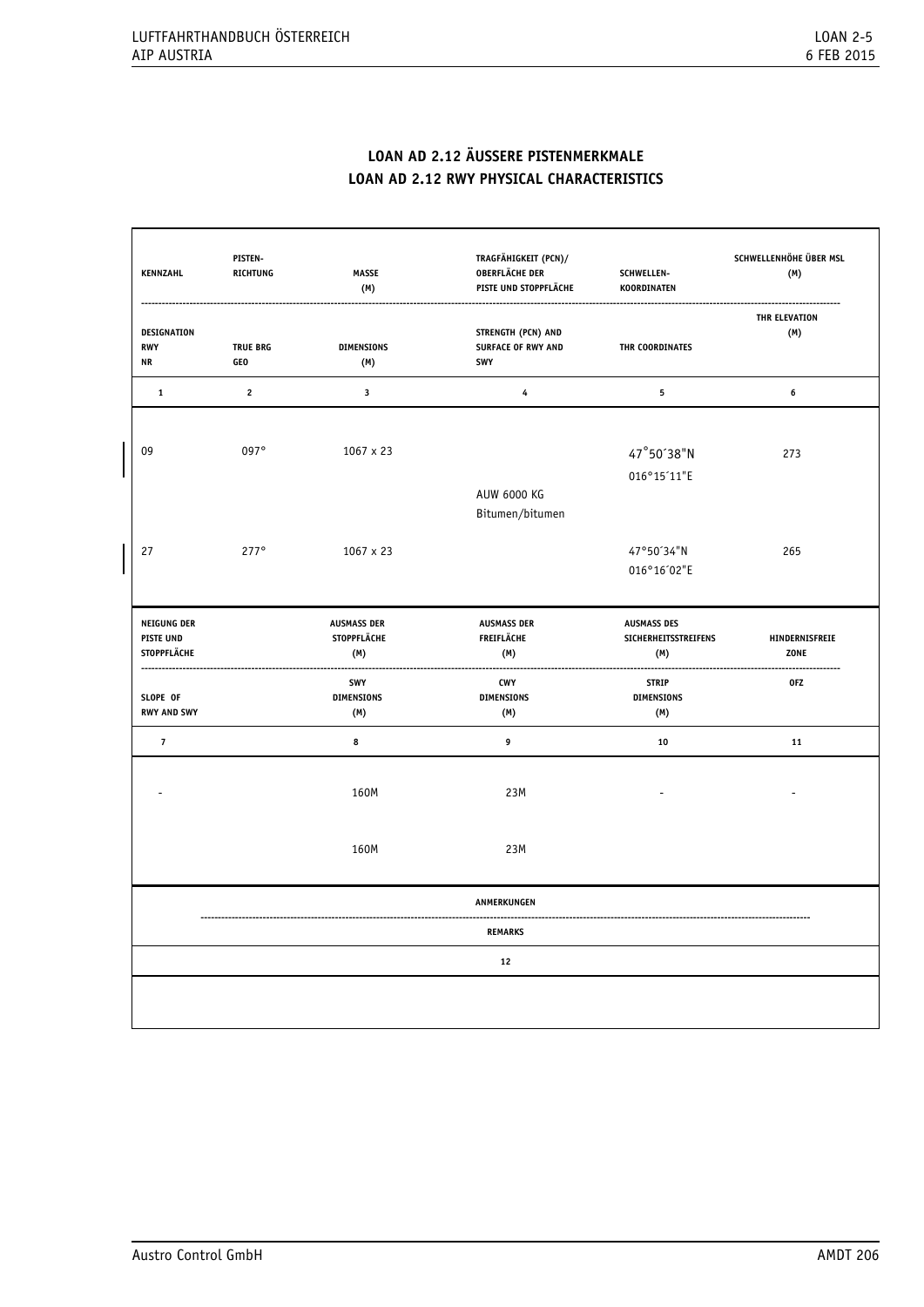# **LOAN AD 2.12 ÄUSSERE PISTENMERKMALE LOAN AD 2.12 RWY PHYSICAL CHARACTERISTICS**

| <b>KENNZAHL</b>                                              | PISTEN-<br><b>RICHTUNG</b> | <b>MASSE</b><br>(M)                             | TRAGFÄHIGKEIT (PCN)/<br><b>OBERFLÄCHE DER</b><br>PISTE UND STOPPFLÄCHE | SCHWELLEN-<br>KOORDINATEN                                | SCHWELLENHÖHE ÜBER MSL<br>(M) |
|--------------------------------------------------------------|----------------------------|-------------------------------------------------|------------------------------------------------------------------------|----------------------------------------------------------|-------------------------------|
| DESIGNATION<br><b>RWY</b><br><b>NR</b>                       | <b>TRUE BRG</b><br>GEO     | <b>DIMENSIONS</b><br>(M)                        | STRENGTH (PCN) AND<br><b>SURFACE OF RWY AND</b><br>SWY                 | THR COORDINATES                                          | <b>THR ELEVATION</b><br>(M)   |
| $\mathbf{1}$                                                 | $\overline{2}$             | $\mathbf{3}$                                    | $\overline{\bf 4}$                                                     | 5                                                        | $\bf{6}$                      |
| 09                                                           | 097°                       | $1067 \times 23$                                | <b>AUW 6000 KG</b>                                                     | 47°50'38"N<br>016°15'11"E                                | 273                           |
| 27                                                           | $277^\circ$                | $1067 \times 23$                                | Bitumen/bitumen                                                        | 47°50'34"N<br>016°16'02"E                                | 265                           |
| <b>NEIGUNG DER</b><br><b>PISTE UND</b><br><b>STOPPFLÄCHE</b> |                            | <b>AUSMASS DER</b><br><b>STOPPFLÄCHE</b><br>(M) | <b>AUSMASS DER</b><br><b>FREIFLÄCHE</b><br>(M)                         | <b>AUSMASS DES</b><br><b>SICHERHEITSSTREIFENS</b><br>(M) | HINDERNISFREIE<br>ZONE        |
| SLOPE OF<br><b>RWY AND SWY</b>                               |                            | SWY<br><b>DIMENSIONS</b><br>(M)                 | <b>CWY</b><br><b>DIMENSIONS</b><br>(M)                                 | <b>STRIP</b><br><b>DIMENSIONS</b><br>(M)                 | 0FZ                           |
| $\overline{7}$                                               |                            | 8                                               | 9                                                                      | 10                                                       | 11                            |
|                                                              |                            | 160M                                            | 23M                                                                    |                                                          |                               |
|                                                              |                            | 160M                                            | 23M                                                                    |                                                          |                               |
|                                                              |                            |                                                 | ANMERKUNGEN                                                            |                                                          |                               |
|                                                              |                            |                                                 | <b>REMARKS</b>                                                         |                                                          |                               |
|                                                              |                            |                                                 |                                                                        |                                                          |                               |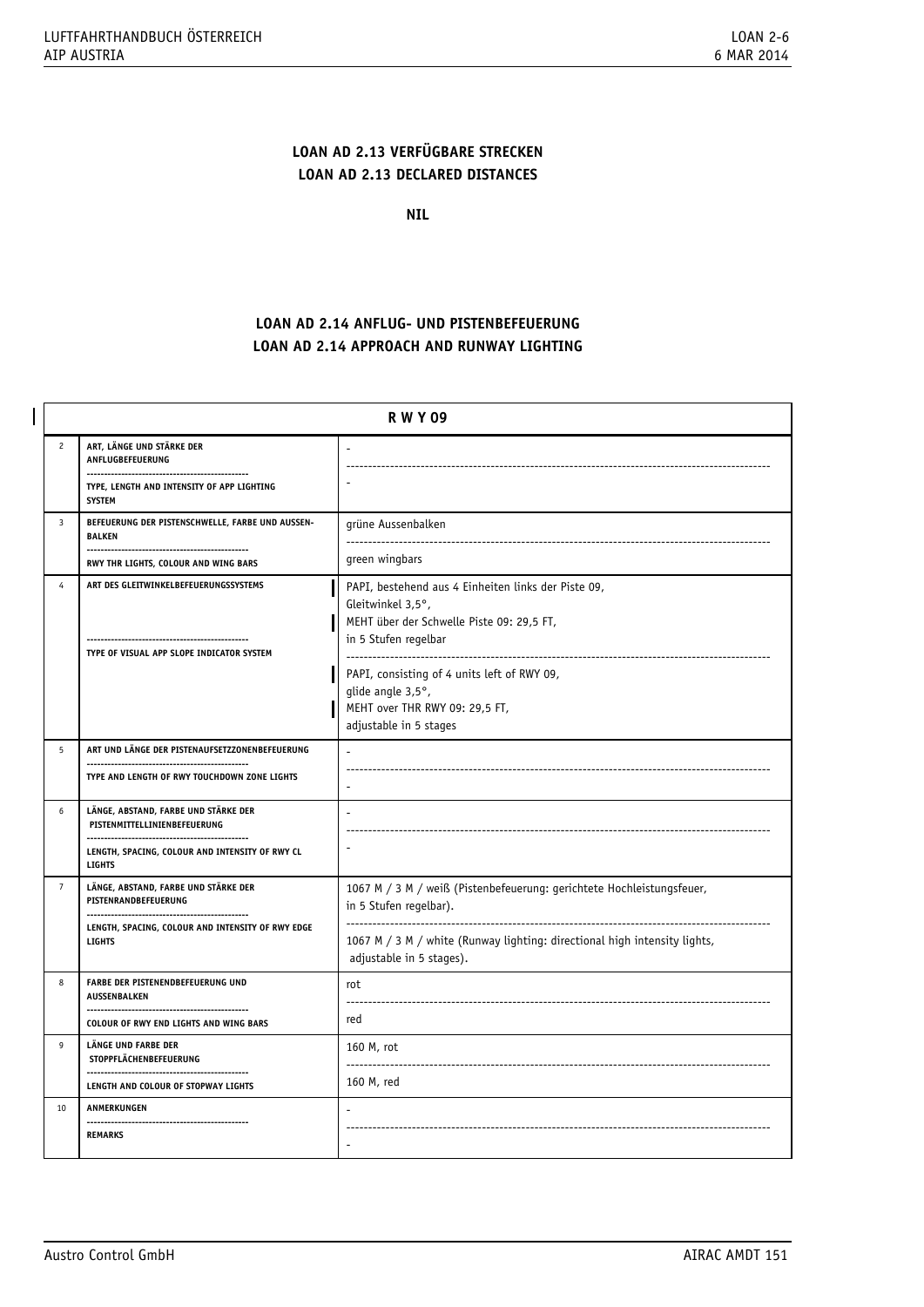# **LOAN AD 2.13 VERFÜGBARE STRECKEN LOAN AD 2.13 DECLARED DISTANCES**

**NIL**

# **LOAN AD 2.14 ANFLUG- UND PISTENBEFEUERUNG LOAN AD 2.14 APPROACH AND RUNWAY LIGHTING**

|                | <b>RWY09</b>                                                                                                 |                                                                                                                                               |  |
|----------------|--------------------------------------------------------------------------------------------------------------|-----------------------------------------------------------------------------------------------------------------------------------------------|--|
| $\mathfrak{p}$ | ART, LÄNGE UND STÄRKE DER<br>ANFLUGBEFEUERUNG                                                                |                                                                                                                                               |  |
|                | TYPE, LENGTH AND INTENSITY OF APP LIGHTING<br><b>SYSTEM</b>                                                  |                                                                                                                                               |  |
| $\overline{3}$ | BEFEUERUNG DER PISTENSCHWELLE, FARBE UND AUSSEN-<br><b>BALKEN</b>                                            | grüne Aussenbalken                                                                                                                            |  |
|                | RWY THR LIGHTS, COLOUR AND WING BARS                                                                         | green wingbars                                                                                                                                |  |
| $\overline{4}$ | ART DES GLEITWINKELBEFEUERUNGSSYSTEMS                                                                        | PAPI, bestehend aus 4 Einheiten links der Piste 09,<br>Gleitwinkel 3,5°,<br>MEHT über der Schwelle Piste 09: 29,5 FT,<br>in 5 Stufen regelbar |  |
|                | TYPE OF VISUAL APP SLOPE INDICATOR SYSTEM                                                                    | .<br>PAPI, consisting of 4 units left of RWY 09,<br>glide angle 3,5°,<br>MEHT over THR RWY 09: 29,5 FT,<br>adjustable in 5 stages             |  |
| 5              | ART UND LÄNGE DER PISTENAUFSETZZONENBEFEUERUNG                                                               |                                                                                                                                               |  |
|                | TYPE AND LENGTH OF RWY TOUCHDOWN ZONE LIGHTS                                                                 |                                                                                                                                               |  |
| 6              | LÄNGE, ABSTAND, FARBE UND STÄRKE DER<br>PISTENMITTELLINIENBEFEUERUNG<br>------------------------------------ |                                                                                                                                               |  |
|                | LENGTH, SPACING, COLOUR AND INTENSITY OF RWY CL<br><b>LIGHTS</b>                                             |                                                                                                                                               |  |
| $\overline{7}$ | LÄNGE, ABSTAND, FARBE UND STÄRKE DER<br>PISTENRANDBEFEUERUNG                                                 | 1067 M / 3 M / weiß (Pistenbefeuerung: gerichtete Hochleistungsfeuer,<br>in 5 Stufen regelbar).                                               |  |
|                | LENGTH, SPACING, COLOUR AND INTENSITY OF RWY EDGE<br><b>LIGHTS</b>                                           | 1067 M / 3 M / white (Runway lighting: directional high intensity lights,<br>adjustable in 5 stages).                                         |  |
| 8              | FARBE DER PISTENENDBEFEUERUNG UND<br>AUSSENBALKEN                                                            | rot<br>$---$                                                                                                                                  |  |
|                | <b>COLOUR OF RWY END LIGHTS AND WING BARS</b>                                                                | red                                                                                                                                           |  |
| 9              | <b>LÄNGE UND FARBE DER</b><br>STOPPFLÄCHENBEFEUERUNG                                                         | 160 M, rot<br>-------<br>--------------------------------                                                                                     |  |
|                | LENGTH AND COLOUR OF STOPWAY LIGHTS                                                                          | 160 M, red                                                                                                                                    |  |
| 10             | ANMERKUNGEN<br>----------------------------------                                                            |                                                                                                                                               |  |
|                | <b>REMARKS</b>                                                                                               |                                                                                                                                               |  |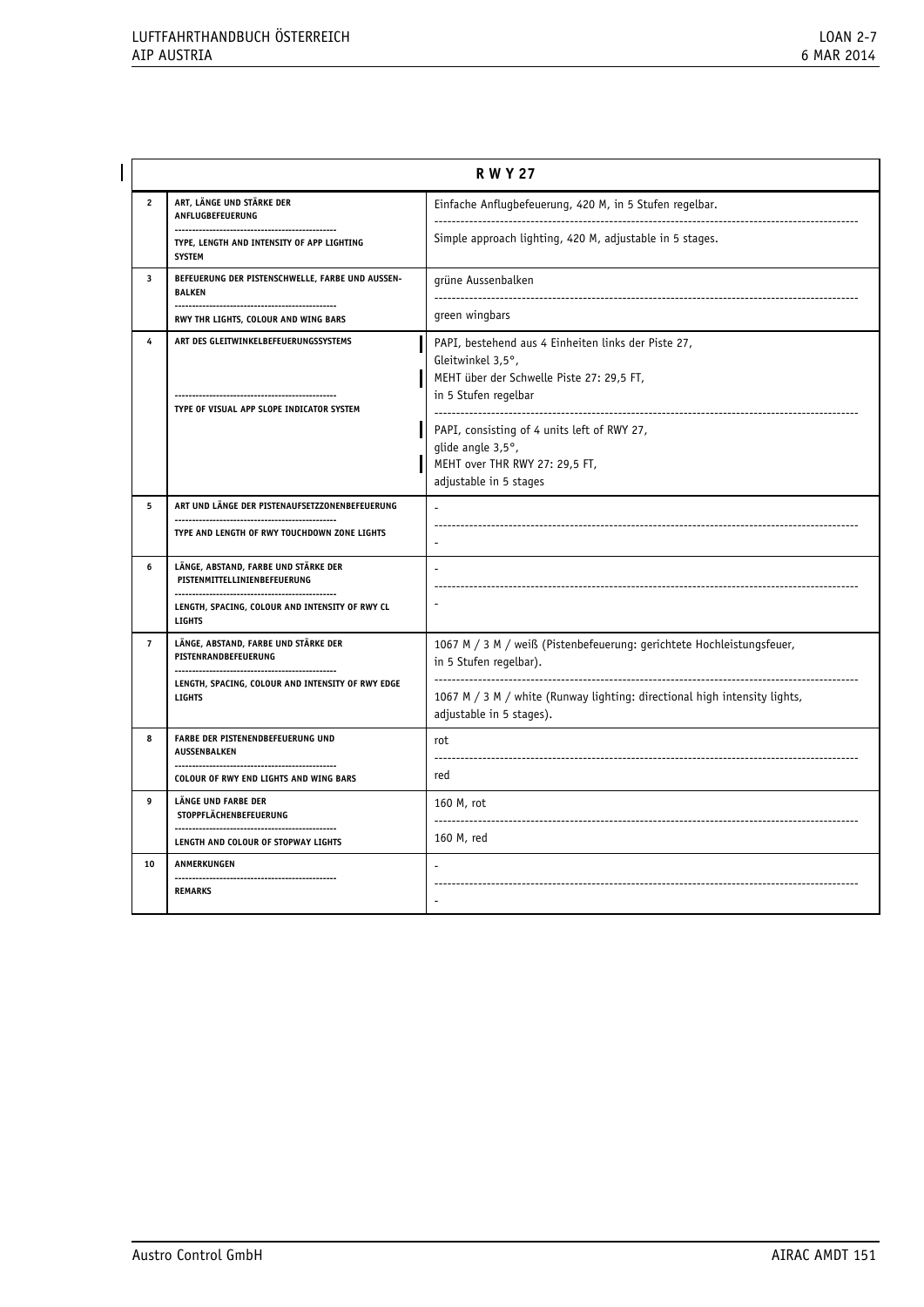|                | <b>RWY27</b>                                                                            |                                                                                                                                               |  |  |  |
|----------------|-----------------------------------------------------------------------------------------|-----------------------------------------------------------------------------------------------------------------------------------------------|--|--|--|
| $\overline{2}$ | ART, LÄNGE UND STÄRKE DER<br>ANFLUGBEFEUERUNG                                           | Einfache Anflugbefeuerung, 420 M, in 5 Stufen regelbar.<br>-------------------------                                                          |  |  |  |
|                | ------------------------<br>TYPE, LENGTH AND INTENSITY OF APP LIGHTING<br><b>SYSTEM</b> | Simple approach lighting, 420 M, adjustable in 5 stages.                                                                                      |  |  |  |
| 3              | BEFEUERUNG DER PISTENSCHWELLE, FARBE UND AUSSEN-<br><b>BALKEN</b>                       | grüne Aussenbalken                                                                                                                            |  |  |  |
|                | RWY THR LIGHTS, COLOUR AND WING BARS                                                    | green wingbars                                                                                                                                |  |  |  |
| 4              | ART DES GLEITWINKELBEFEUERUNGSSYSTEMS                                                   | PAPI, bestehend aus 4 Einheiten links der Piste 27,<br>Gleitwinkel 3,5°,<br>MEHT über der Schwelle Piste 27: 29,5 FT,<br>in 5 Stufen regelbar |  |  |  |
|                | TYPE OF VISUAL APP SLOPE INDICATOR SYSTEM                                               | PAPI, consisting of 4 units left of RWY 27,<br>glide angle 3,5°,<br>MEHT over THR RWY 27: 29,5 FT,<br>adjustable in 5 stages                  |  |  |  |
| 5              | ART UND LÄNGE DER PISTENAUFSETZZONENBEFEUERUNG                                          |                                                                                                                                               |  |  |  |
|                | TYPE AND LENGTH OF RWY TOUCHDOWN ZONE LIGHTS                                            |                                                                                                                                               |  |  |  |
| 6              | LÄNGE, ABSTAND, FARBE UND STÄRKE DER<br>PISTENMITTELLINIENBEFEUERUNG                    |                                                                                                                                               |  |  |  |
|                | LENGTH, SPACING, COLOUR AND INTENSITY OF RWY CL<br><b>LIGHTS</b>                        |                                                                                                                                               |  |  |  |
| $\overline{7}$ | LÄNGE, ABSTAND, FARBE UND STÄRKE DER<br>PISTENRANDBEFEUERUNG                            | 1067 M / 3 M / weiß (Pistenbefeuerung: gerichtete Hochleistungsfeuer,<br>in 5 Stufen regelbar).                                               |  |  |  |
|                | LENGTH, SPACING, COLOUR AND INTENSITY OF RWY EDGE<br><b>LIGHTS</b>                      | 1067 M / 3 M / white (Runway lighting: directional high intensity lights,<br>adjustable in 5 stages).                                         |  |  |  |
| 8              | FARBE DER PISTENENDBEFEUERUNG UND<br><b>AUSSENBALKEN</b>                                | rot                                                                                                                                           |  |  |  |
|                | <b>COLOUR OF RWY END LIGHTS AND WING BARS</b>                                           | red                                                                                                                                           |  |  |  |
| 9              | LÄNGE UND FARBE DER<br><b>STOPPFLÄCHENBEFEUERUNG</b>                                    | 160 M, rot                                                                                                                                    |  |  |  |
|                | LENGTH AND COLOUR OF STOPWAY LIGHTS                                                     | 160 M, red                                                                                                                                    |  |  |  |
| 10             | ANMERKUNGEN                                                                             |                                                                                                                                               |  |  |  |
|                | <b>REMARKS</b>                                                                          |                                                                                                                                               |  |  |  |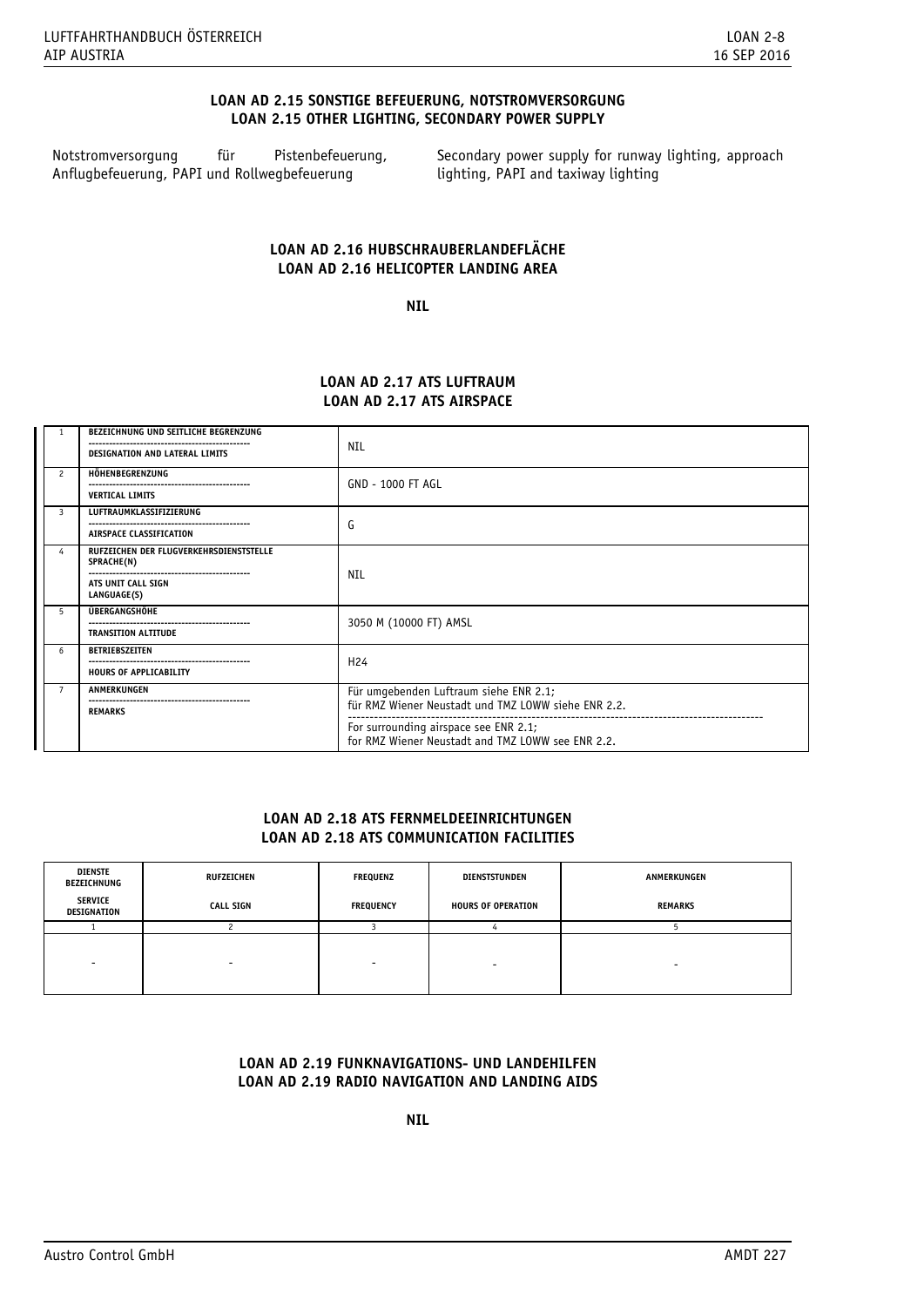# **LOAN AD 2.15 SONSTIGE BEFEUERUNG, NOTSTROMVERSORGUNG LOAN 2.15 OTHER LIGHTING, SECONDARY POWER SUPPLY**

Notstromversorgung für Pistenbefeuerung, Anflugbefeuerung, PAPI und Rollwegbefeuerung

 Secondary power supply for runway lighting, approach lighting, PAPI and taxiway lighting

# **LOAN AD 2.16 HUBSCHRAUBERLANDEFLÄCHE LOAN AD 2.16 HELICOPTER LANDING AREA**

**NIL** 

# **LOAN AD 2.17 ATS LUFTRAUM LOAN AD 2.17 ATS AIRSPACE**

| 1              | BEZEICHNUNG UND SEITLICHE BEGRENZUNG<br><b>DESIGNATION AND LATERAL LIMITS</b>              | NIL                                                                                           |  |
|----------------|--------------------------------------------------------------------------------------------|-----------------------------------------------------------------------------------------------|--|
| $\mathcal{P}$  | HÖHENBEGRENZUNG<br><b>VERTICAL LIMITS</b>                                                  | <b>GND - 1000 FT AGL</b>                                                                      |  |
| 3              | LUFTRAUMKLASSIFIZIERUNG<br>AIRSPACE CLASSIFICATION                                         | G                                                                                             |  |
| 4              | RUFZEICHEN DER FLUGVERKEHRSDIENSTSTELLE<br>SPRACHE(N)<br>ATS UNIT CALL SIGN<br>LANGUAGE(S) | <b>NIL</b>                                                                                    |  |
| 5              | ÜBERGANGSHÖHE<br><b>TRANSITION ALTITUDE</b>                                                | 3050 M (10000 FT) AMSL                                                                        |  |
| 6              | BETRIEBSZEITEN<br><b>HOURS OF APPLICABILITY</b>                                            | H <sub>24</sub>                                                                               |  |
| $\overline{7}$ | ANMERKUNGEN<br><b>REMARKS</b>                                                              | Für umgebenden Luftraum siehe ENR 2.1;<br>für RMZ Wiener Neustadt und TMZ LOWW siehe ENR 2.2. |  |
|                |                                                                                            | For surrounding airspace see ENR 2.1;<br>for RMZ Wiener Neustadt and TMZ LOWW see ENR 2.2.    |  |

# **LOAN AD 2.18 ATS FERNMELDEEINRICHTUNGEN LOAN AD 2.18 ATS COMMUNICATION FACILITIES**

| DIENSTE<br>BEZEICHNUNG        | <b>RUFZEICHEN</b>        | FREQUENZ         | DIENSTSTUNDEN             | ANMERKUNGEN |
|-------------------------------|--------------------------|------------------|---------------------------|-------------|
| <b>SERVICE</b><br>DESIGNATION | <b>CALL SIGN</b>         | <b>FREQUENCY</b> | <b>HOURS OF OPERATION</b> | REMARKS     |
|                               |                          |                  |                           |             |
|                               | $\overline{\phantom{0}}$ |                  |                           |             |

# **LOAN AD 2.19 FUNKNAVIGATIONS- UND LANDEHILFEN LOAN AD 2.19 RADIO NAVIGATION AND LANDING AIDS**

**NIL**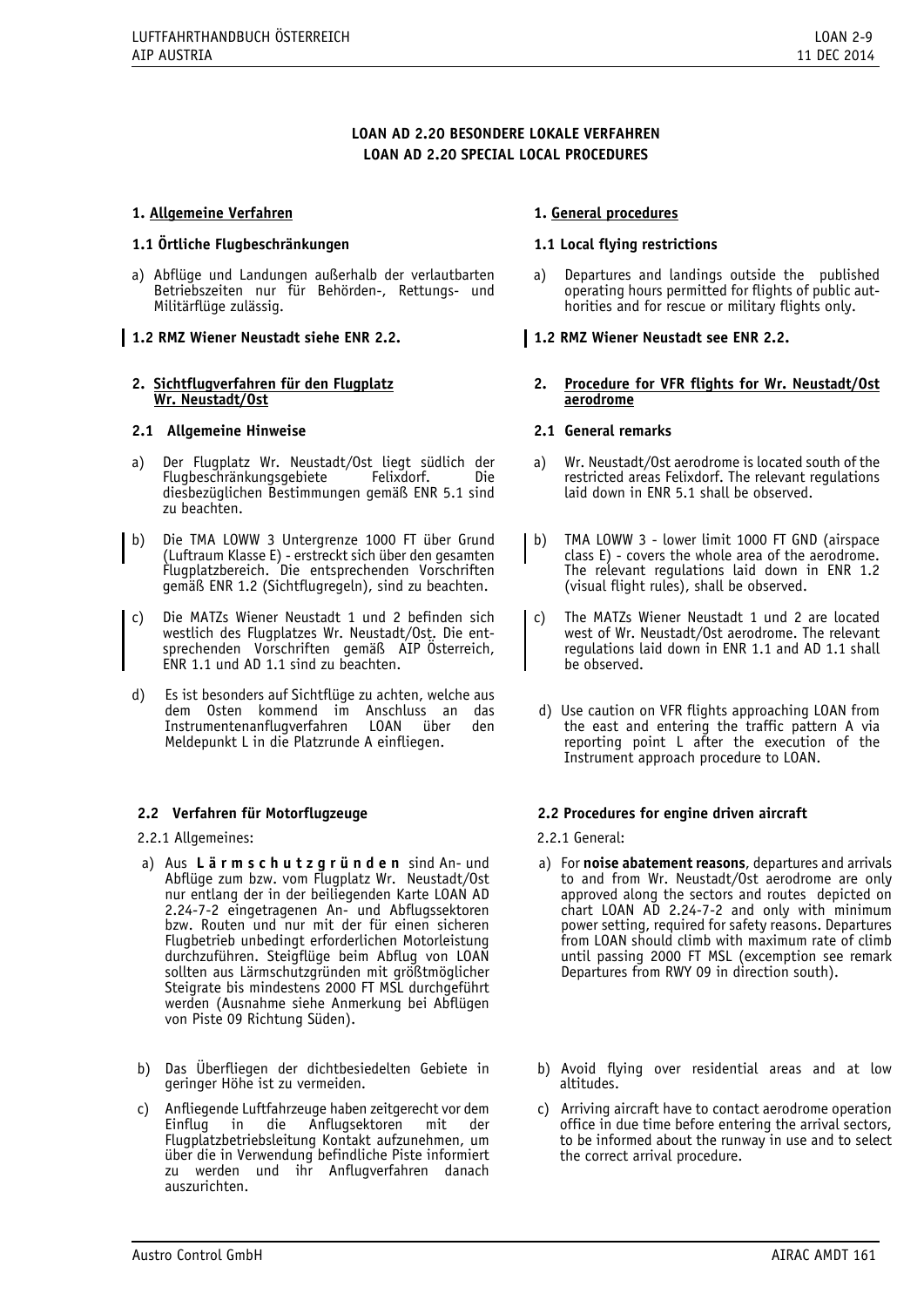# **LOAN AD 2.20 BESONDERE LOKALE VERFAHREN LOAN AD 2.20 SPECIAL LOCAL PROCEDURES**

# **1. Allgemeine Verfahren**

#### **1.1 Örtliche Flugbeschränkungen**

a) Abflüge und Landungen außerhalb der verlautbarten Betriebszeiten nur für Behörden-, Rettungs- und Militärflüge zulässig.

# **1.2 RMZ Wiener Neustadt siehe ENR 2.2.**

# **2. Sichtflugverfahren für den Flugplatz Wr. Neustadt/Ost**

#### **2.1 Allgemeine Hinweise**

- a) Der Flugplatz Wr. Neustadt/Ost liegt südlich der Flugbeschränkungsgebiete Felixdorf. Die diesbezüglichen Bestimmungen gemäß ENR 5.1 sind zu beachten.
- b) Die TMA LOWW 3 Untergrenze 1000 FT über Grund (Luftraum Klasse E) - erstreckt sich über den gesamten Flugplatzbereich. Die entsprechenden Vorschriften gemäß ENR 1.2 (Sichtflugregeln), sind zu beachten.
- c) Die MATZs Wiener Neustadt 1 und 2 befinden sich westlich des Flugplatzes Wr. Neustadt/Ost. Die entsprechenden Vorschriften gemäß AIP Österreich, ENR 1.1 und AD 1.1 sind zu beachten.
- d) Es ist besonders auf Sichtflüge zu achten, welche aus dem Osten kommend im Anschluss an das Instrumentenanflugverfahren Meldepunkt L in die Platzrunde A einfliegen.

#### **2.2 Verfahren für Motorflugzeuge**

2.2.1 Allgemeines:

- a) Aus **L ä r m s c h u t z g r ü n d e n** sind An- und Abflüge zum bzw. vom Flugplatz Wr. Neustadt/Ost nur entlang der in der beiliegenden Karte LOAN AD 2.24-7-2 eingetragenen An- und Abflugssektoren bzw. Routen und nur mit der für einen sicheren Flugbetrieb unbedingt erforderlichen Motorleistung durchzuführen. Steigflüge beim Abflug von LOAN sollten aus Lärmschutzgründen mit größtmöglicher Steigrate bis mindestens 2000 FT MSL durchgeführt werden (Ausnahme siehe Anmerkung bei Abflügen von Piste 09 Richtung Süden).
- b) Das Überfliegen der dichtbesiedelten Gebiete in geringer Höhe ist zu vermeiden.
- c) Anfliegende Luftfahrzeuge haben zeitgerecht vor dem die Anflugsektoren mit der Flugplatzbetriebsleitung Kontakt aufzunehmen, um über die in Verwendung befindliche Piste informiert zu werden und ihr Anflugverfahren danach auszurichten.

#### **1. General procedures**

#### **1.1 Local flying restrictions**

a) Departures and landings outside the published operating hours permitted for flights of public authorities and for rescue or military flights only.

#### **1.2 RMZ Wiener Neustadt see ENR 2.2.**

**2. Procedure for VFR flights for Wr. Neustadt/Ost aerodrome** 

# **2.1 General remarks**

- a) Wr. Neustadt/Ost aerodrome is located south of the restricted areas Felixdorf. The relevant regulations laid down in ENR 5.1 shall be observed.
- b) TMA LOWW 3 lower limit 1000 FT GND (airspace class E) - covers the whole area of the aerodrome. The relevant regulations laid down in ENR 1.2 (visual flight rules), shall be observed.
- c) The MATZs Wiener Neustadt 1 und 2 are located west of Wr. Neustadt/Ost aerodrome. The relevant regulations laid down in ENR 1.1 and AD 1.1 shall be observed.
- d) Use caution on VFR flights approaching LOAN from the east and entering the traffic pattern A via reporting point L after the execution of the Instrument approach procedure to LOAN.

#### **2.2 Procedures for engine driven aircraft**

2.2.1 General:

- a) For **noise abatement reasons**, departures and arrivals to and from Wr. Neustadt/Ost aerodrome are only approved along the sectors and routes depicted on  $chart$  LOAN  $AD$  2.24-7-2 and only with minimum power setting, required for safety reasons. Departures from LOAN should climb with maximum rate of climb until passing 2000 FT MSL (excemption see remark Departures from RWY 09 in direction south).
- b) Avoid flying over residential areas and at low altitudes.
- c) Arriving aircraft have to contact aerodrome operation office in due time before entering the arrival sectors, to be informed about the runway in use and to select the correct arrival procedure.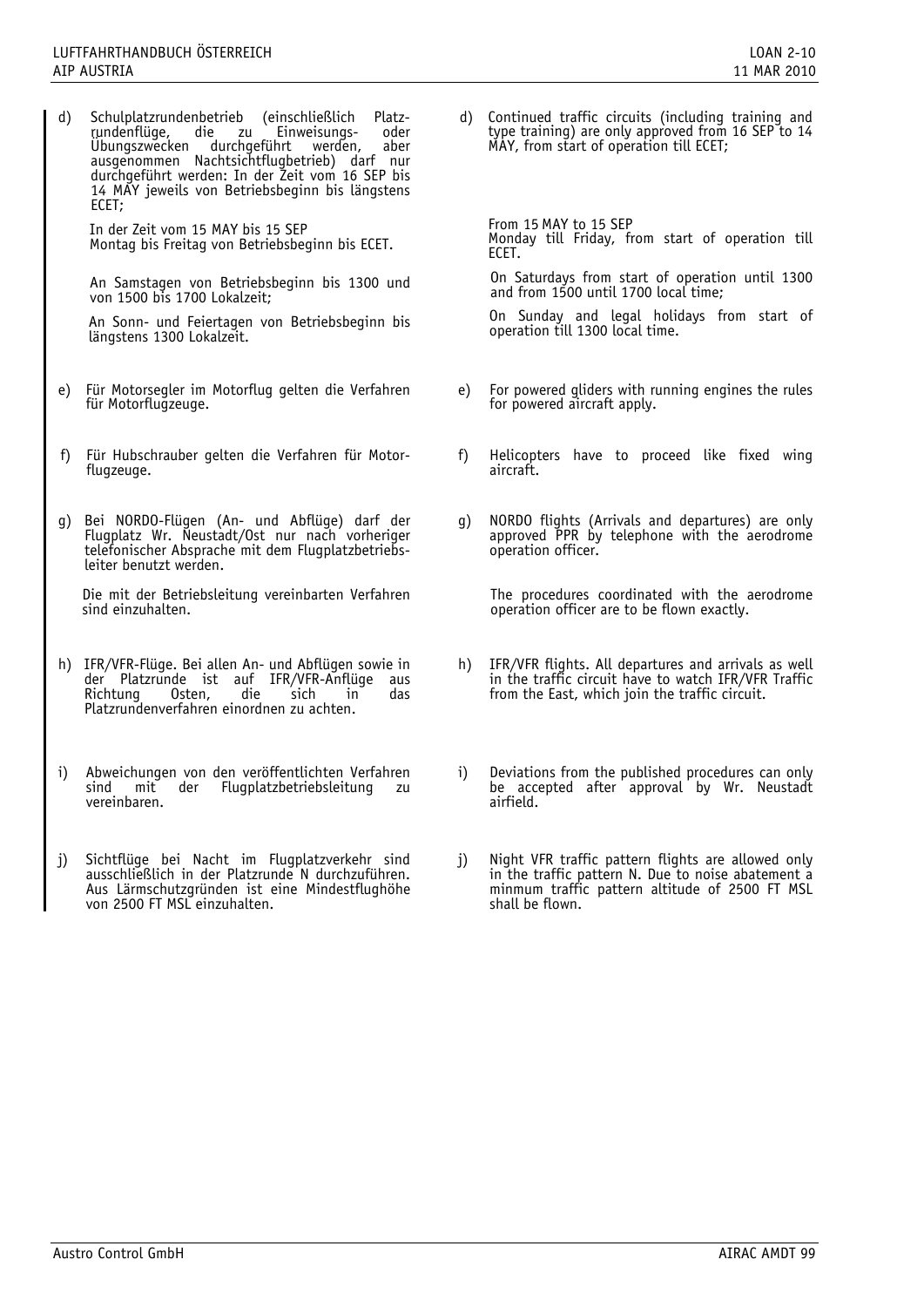d) Schulplatzrundenbetrieb (einschließlich Platz- rundenflüge, die zu Einweisungs- oder Übungszwecken durchgeführt werden, aber ausgenommen Nachtsichtflugbetrieb) darf nur durchgeführt werden: In der Zeit vom 16 SEP bis 14 MAY jeweils von Betriebsbeginn bis längstens ECET;

In der Zeit vom 15 MAY bis 15 SEP Montag bis Freitag von Betriebsbeginn bis ECET.

An Samstagen von Betriebsbeginn bis 1300 und von 1500 bis 1700 Lokalzeit;

An Sonn- und Feiertagen von Betriebsbeginn bis längstens 1300 Lokalzeit.

- e) Für Motorsegler im Motorflug gelten die Verfahren
- 
- g) Bei NORDO-Flügen (An- und Abflüge) darf der Flugplatz Wr. Neustadt/Ost nur nach vorheriger telefonischer Absprache mit dem Flugplatzbetriebsleiter benutzt werden.

Die mit der Betriebsleitung vereinbarten Verfahren sind einzuhalten.

- h) IFR/VFR-Flüge. Bei allen An- und Abflügen sowie in der Platzrunde ist auf IFR/VFR-Anflüge aus Richtung Osten, die sich in das Platzrundenverfahren einordnen zu achten.
- i) Abweichungen von den veröffentlichten Verfahren sind mit der Flugplatzbetriebsleitung zu vereinbaren.
- j) Sichtflüge bei Nacht im Flugplatzverkehr sind ausschließlich in der Platzrunde N durchzuführen. Aus Lärmschutzgründen ist eine Mindestflughöhe von 2500 FT MSL einzuhalten.

d) Continued traffic circuits (including training and type training) are only approved from 16 SEP to 14 MAY, from start of operation till ECET;

From 15 MAY to 15 SEP Monday till Friday, from start of operation till ECET.

On Saturdays from start of operation until 1300 and from 1500 until 1700 local time;

On Sunday and legal holidays from start of operation till 1300 local time.

- e) For powered gliders with running engines the rules for powered aircraft apply.
- f) Für Hubschrauber gelten die Verfahren für Motor- f) Helicopters have to proceed like fixed wing flugzeuge.
	- g) NORDO flights (Arrivals and departures) are only approved PPR by telephone with the aerodrome operation officer.

The procedures coordinated with the aerodrome operation officer are to be flown exactly.

- h) IFR/VFR flights. All departures and arrivals as well in the traffic circuit have to watch IFR/VFR Traffic from the East, which join the traffic circuit.
- i) Deviations from the published procedures can only be accepted after approval by Wr. Neustadt airfield.
- j) Night VFR traffic pattern flights are allowed only in the traffic pattern N. Due to noise abatement a minmum traffic pattern altitude of 2500 FT MSL shall be flown.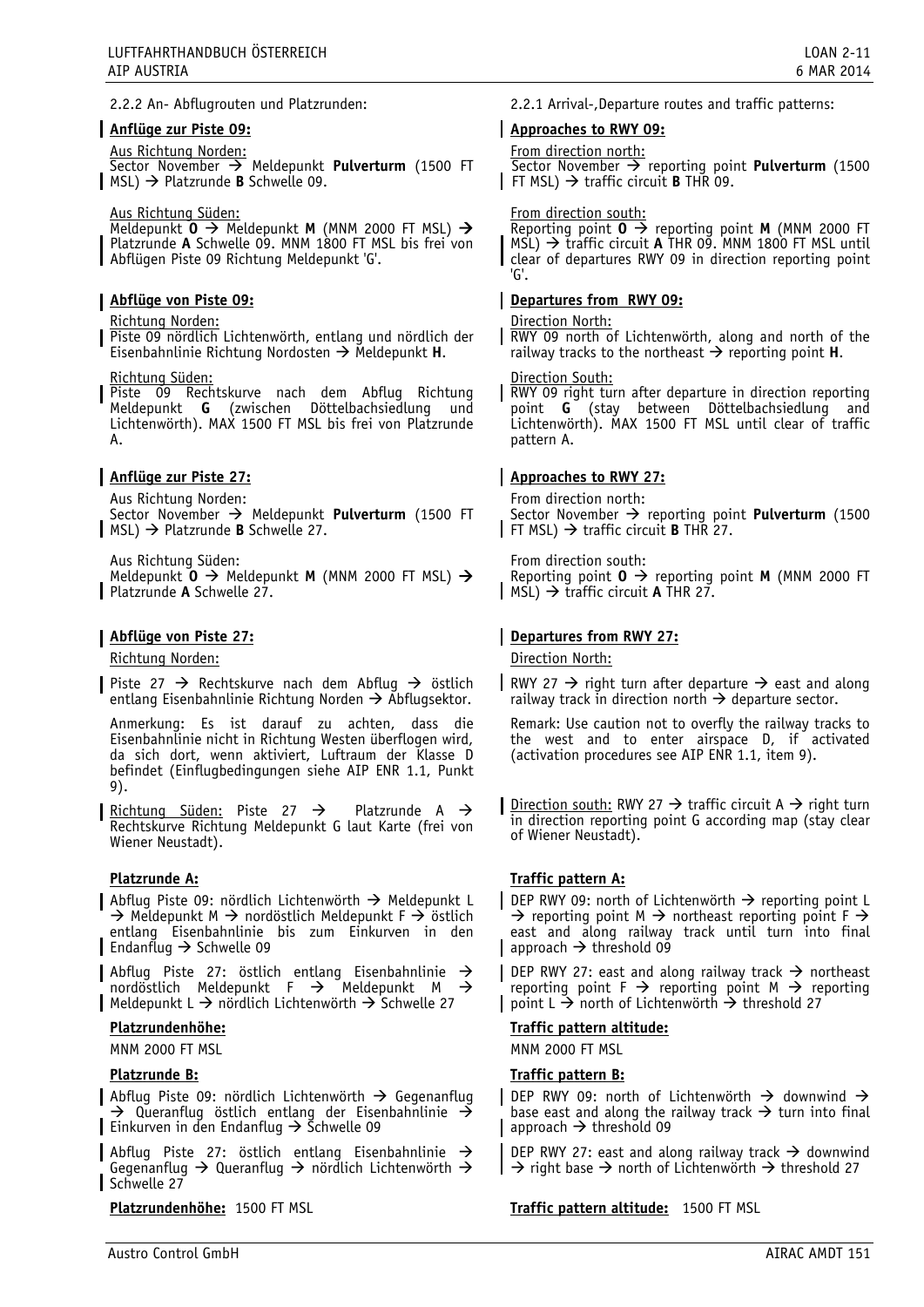# **Anflüge zur Piste 09:**

Aus Richtung Norden:

Sector November Meldepunkt **Pulverturm** (1500 FT  $\mid$  MSL)  $\rightarrow$  Platzrunde **B** Schwelle 09.

#### Aus Richtung Süden:

Meldepunkt **O** Meldepunkt **M** (MNM 2000 FT MSL) Platzrunde **A** Schwelle 09. MNM 1800 FT MSL bis frei von Abflügen Piste 09 Richtung Meldepunkt 'G'.

# **Abflüge von Piste 09:**

#### Richtung Norden:

Piste 09 nördlich Lichtenwörth, entlang und nördlich der Eisenbahnlinie Richtung Nordosten Meldepunkt **H**.

#### Richtung Süden:

Piste 09 Rechtskurve nach dem Abflug Richtung Meldepunkt **G** (zwischen Döttelbachsiedlung und Lichtenwörth). MAX 1500 FT MSL bis frei von Platzrunde A.

# **Anflüge zur Piste 27:**

Aus Richtung Norden:

Sector November  $\rightarrow$  Meldepunkt Pulverturm (1500 FT MSL) Platzrunde **B** Schwelle 27.

Aus Richtung Süden:

Meldepunkt **O** Meldepunkt **M** (MNM 2000 FT MSL) Platzrunde **A** Schwelle 27.

# **Abflüge von Piste 27:**

Richtung Norden:

Piste 27  $\rightarrow$  Rechtskurve nach dem Abflug  $\rightarrow$  östlich entlang Eisenbahnlinie Richtung Norden  $\rightarrow$  Abflugsektor.

Anmerkung: Es ist darauf zu achten, dass die Eisenbahnlinie nicht in Richtung Westen überflogen wird, da sich dort, wenn aktiviert, Luftraum der Klasse D befindet (Einflugbedingungen siehe AIP ENR 1.1, Punkt 9).

Richtung Süden: Piste 27  $\rightarrow$  Platzrunde A  $\rightarrow$ Rechtskurve Richtung Meldepunkt G laut Karte (frei von Wiener Neustadt).

# **Platzrunde A:**

**Abflug Piste 09: nördlich Lichtenwörth → Meldepunkt L**  $\rightarrow$  Meldepunkt M  $\rightarrow$  nordöstlich Meldepunkt F  $\rightarrow$  östlich entlang Eisenbahnlinie bis zum Einkurven in den Endanflug  $\rightarrow$  Schwelle 09

Abflug Piste 27: östlich entlang Eisenbahnlinie  $\rightarrow$ nordöstlich Meldepunkt F  $\rightarrow$  Meldepunkt M  $\rightarrow$ Meldepunkt L  $\rightarrow$  nördlich Lichtenwörth  $\rightarrow$  Schwelle 27

#### **Platzrundenhöhe:**

MNM 2000 FT MSL

#### **Platzrunde B:**

Abflug Piste 09: nördlich Lichtenwörth  $\rightarrow$  Gegenanflug  $\rightarrow$  Queranflug östlich entlang der Eisenbahnlinie  $\rightarrow$ Einkurven in den Endanflug  $\rightarrow$  Schwelle 09

Abflug Piste 27: östlich entlang Eisenbahnlinie  $\rightarrow$ Gegenanflug  $\rightarrow$  Queranflug  $\rightarrow$  nördlich Lichtenwörth  $\rightarrow$ Schwelle 27

**Platzrundenhöhe:** 1500 FT MSL

# **Approaches to RWY 09:**

# From direction north:

Sector November  $\rightarrow$  reporting point **Pulverturm** (1500 FT MSL)  $\rightarrow$  traffic circuit **B** THR 09.

#### From direction south:

Reporting point  $0 \rightarrow$  reporting point **M** (MNM 2000 FT  $MSL$ )  $\rightarrow$  traffic circuit **A** THR 09. MNM 1800 FT MSL until clear of departures RWY 09 in direction reporting point 'G'.

# **Departures from RWY 09:**

#### Direction North:

**RWY 09 north of Lichtenwörth, along and north of the** railway tracks to the northeast  $\rightarrow$  reporting point **H**.

#### Direction South:

RWY 09 right turn after departure in direction reporting point **G** (stay between Döttelbachsiedlung and Lichtenwörth). MAX 1500 FT MSL until clear of traffic pattern A.

# **Approaches to RWY 27:**

From direction north: Sector November  $\rightarrow$  reporting point **Pulverturm** (1500 FT MSL)  $\rightarrow$  traffic circuit **B** THR 27.

From direction south: Reporting point  $0 \rightarrow$  reporting point **M** (MNM 2000 FT  $\parallel$  MSL)  $\rightarrow$  traffic circuit **A** THR 27.

# **Departures from RWY 27:**

Direction North:

RWY 27  $\rightarrow$  right turn after departure  $\rightarrow$  east and along railway track in direction north  $\rightarrow$  departure sector.

Remark: Use caution not to overfly the railway tracks to the west and to enter airspace D, if activated (activation procedures see AIP ENR 1.1, item 9).

Direction south: RWY 27  $\rightarrow$  traffic circuit A  $\rightarrow$  right turn in direction reporting point G according map (stay clear of Wiener Neustadt).

# **Traffic pattern A:**

DEP RWY 09: north of Lichtenwörth  $\rightarrow$  reporting point L  $\rightarrow$  reporting point M  $\rightarrow$  northeast reporting point F  $\rightarrow$ east and along railway track until turn into final approach  $\rightarrow$  threshold 09

DEP RWY 27: east and along railway track  $\rightarrow$  northeast reporting point  $F \rightarrow$  reporting point M  $\rightarrow$  reporting point  $L \rightarrow$  north of Lichtenwörth  $\rightarrow$  threshold 27

#### **Traffic pattern altitude:**

MNM 2000 FT MSL

# **Traffic pattern B:**

DEP RWY 09: north of Lichtenwörth  $\rightarrow$  downwind  $\rightarrow$ base east and along the railway track  $\rightarrow$  turn into final  $\vert$  approach  $\rightarrow$  threshold 09

DEP RWY 27: east and along railway track  $\rightarrow$  downwind  $\rightarrow$  right base  $\rightarrow$  north of Lichtenwörth  $\rightarrow$  threshold 27

**Traffic pattern altitude:** 1500 FT MSL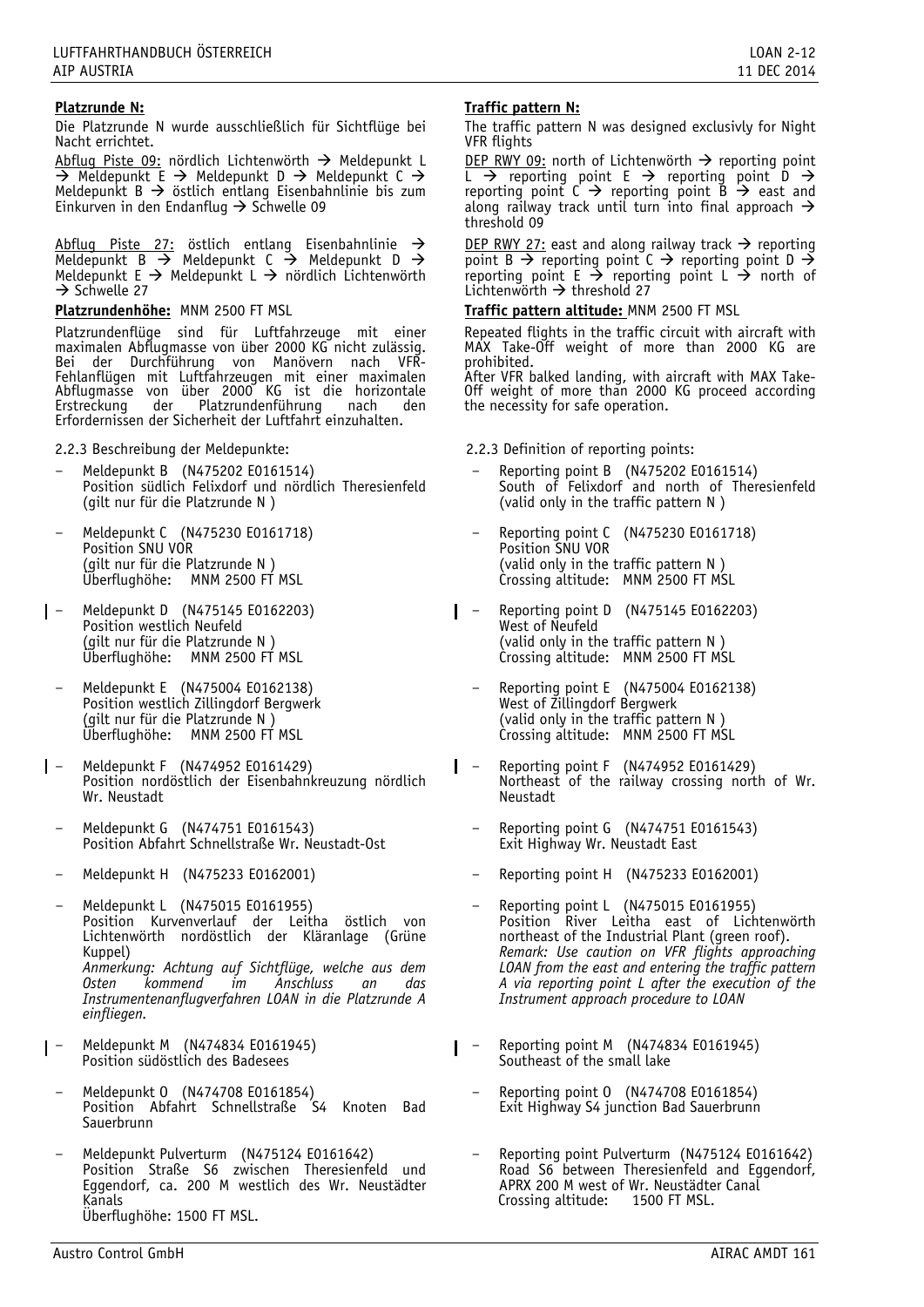# **Platzrunde N:**

Die Platzrunde N wurde ausschließlich für Sichtflüge bei Nacht errichtet.

Abflug Piste 09: nördlich Lichtenwörth  $\rightarrow$  Meldepunkt L  $\overline{\rightarrow}$  Meldepunkt E  $\rightarrow$  Meldepunkt D  $\rightarrow$  Meldepunkt C  $\rightarrow$ Meldepunkt B  $\rightarrow$  östlich entlang Eisenbahnlinie bis zum Einkurven in den Endanflug  $\rightarrow$  Schwelle 09

 $\Delta$ bflug Piste 27: östlich entlang Eisenbahnlinie  $\rightarrow$ Meldepunkt B  $\rightarrow$  Meldepunkt C  $\rightarrow$  Meldepunkt D  $\rightarrow$ Meldepunkt E  $\rightarrow$  Meldepunkt L  $\rightarrow$  nördlich Lichtenwörth  $\rightarrow$  Schwelle 27

**Platzrundenhöhe:** MNM 2500 FT MSL

Platzrundenflüge sind für Luftfahrzeuge mit einer maximalen Abflugmasse von über 2000 KG nicht zulässig. Bei der Durchführung von Manövern nach VFR-Fehlanflügen mit Luftfahrzeugen mit einer maximalen Abflugmasse von über 2000 KG ist die horizontale Erstreckung der Platzrundenführung nach den Erfordernissen der Sicherheit der Luftfahrt einzuhalten.

2.2.3 Beschreibung der Meldepunkte:

- Meldepunkt B (N475202 E0161514) Position südlich Felixdorf und nördlich Theresienfeld (gilt nur für die Platzrunde N )
- Meldepunkt C (N475230 E0161718) Position SNU VOR (gilt nur für die Platzrunde N ) Überflughöhe: MNM 2500 FT MSL
- Meldepunkt D (N475145 E0162203) Position westlich Neufeld (gilt nur für die Platzrunde N ) Überflughöhe: MNM 2500 FT MSL
	- Meldepunkt E (N475004 E0162138) Position westlich Zillingdorf Bergwerk (gilt nur für die Platzrunde N ) Überflughöhe: MNM 2500 FT MSL
- Meldepunkt F (N474952 E0161429) Position nordöstlich der Eisenbahnkreuzung nördlich Wr. Neustadt
	- Meldepunkt G (N474751 E0161543) Position Abfahrt Schnellstraße Wr. Neustadt-Ost
	- Meldepunkt H (N475233 E0162001)
	- Meldepunkt L (N475015 E0161955) Position Kurvenverlauf der Leitha östlich von Lichtenwörth nordöstlich der Kläranlage (Grüne Kuppel) *Anmerkung: Achtung auf Sichtflüge, welche aus dem Osten kommend im Anschluss an das Instrumentenanflugverfahren LOAN in die Platzrunde A einfliegen.*
- Meldepunkt M (N474834 E0161945) Position südöstlich des Badesees
- Meldepunkt 0 (N474708 E0161854) Position Abfahrt Schnellstraße S4 Knoten Bad **Sauerbrunn**
- Meldepunkt Pulverturm (N475124 E0161642) Position Straße S6 zwischen Theresienfeld und Eggendorf, ca. 200 M westlich des Wr. Neustädter Kanals Überflughöhe: 1500 FT MSL.

# **Traffic pattern N:**

The traffic pattern N was designed exclusivly for Night VFR flights

DEP RWY 09: north of Lichtenwörth  $\rightarrow$  reporting point L  $\rightarrow$  reporting point E  $\rightarrow$  reporting point D  $\rightarrow$ reporting point  $C \rightarrow$  reporting point  $B \rightarrow$  east and along railway track until turn into final approach  $\rightarrow$ threshold 09

DEP RWY 27: east and along railway track  $\rightarrow$  reporting point B  $\rightarrow$  reporting point C  $\rightarrow$  reporting point D  $\rightarrow$ reporting point  $E \rightarrow$  reporting point  $L \rightarrow$  north of Lichtenwörth  $\rightarrow$  threshold 27

# **Traffic pattern altitude:** MNM 2500 FT MSL

Repeated flights in the traffic circuit with aircraft with MAX Take-Off weight of more than 2000 KG are prohibited.

After VFR balked landing, with aircraft with MAX Take-Off weight of more than 2000 KG proceed according the necessity for safe operation.

2.2.3 Definition of reporting points:

- Reporting point B (N475202 E0161514) South of Felixdorf and north of Theresienfeld (valid only in the traffic pattern N )
- Reporting point C (N475230 E0161718) Position SNU VOR (valid only in the traffic pattern N ) Crossing altitude: MNM 2500 FT MSL
- Reporting point D (N475145 E0162203) West of Neufeld (valid only in the traffic pattern N ) Crossing altitude: MNM 2500 FT MSL
	- Reporting point E (N475004 E0162138) West of Zillingdorf Bergwerk (valid only in the traffic pattern N ) Crossing altitude: MNM 2500 FT MSL
- L Reporting point F (N474952 E0161429) Northeast of the railway crossing north of Wr. Neustadt
	- Reporting point G (N474751 E0161543) Exit Highway Wr. Neustadt East
	- Reporting point H (N475233 E0162001)
	- Reporting point L (N475015 E0161955) Position River Leitha east of Lichtenwörth northeast of the Industrial Plant (green roof). *Remark: Use caution on VFR flights approaching LOAN from the east and entering the traffic pattern A via reporting point L after the execution of the Instrument approach procedure to LOAN*
- Reporting point M (N474834 E0161945) L Southeast of the small lake
	- Reporting point 0 (N474708 E0161854) Exit Highway S4 junction Bad Sauerbrunn
	- Reporting point Pulverturm (N475124 E0161642) Road S6 between Theresienfeld and Eggendorf, APRX 200 M west of Wr. Neustädter Canal<br>Crossing altitude: 1500 FT MSL. Crossing altitude: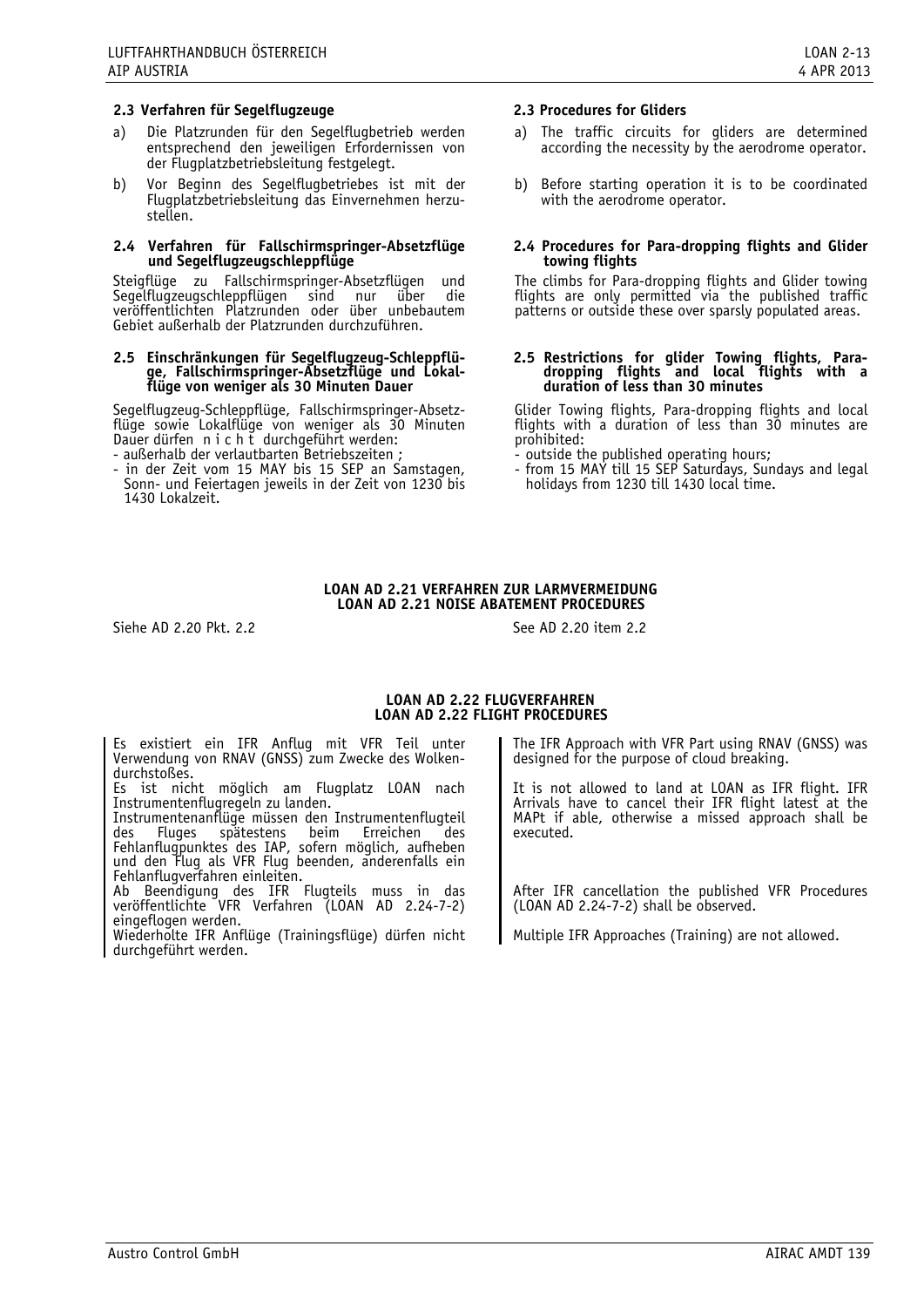# **2.3 Verfahren für Segelflugzeuge 2.3 Procedures for Gliders**

- a) Die Platzrunden für den Segelflugbetrieb werden entsprechend den jeweiligen Erfordernissen von der Flugplatzbetriebsleitung festgelegt.
- b) Vor Beginn des Segelflugbetriebes ist mit der Flugplatzbetriebsleitung das Einvernehmen herzustellen.

#### **2.4 Verfahren für Fallschirmspringer-Absetzflüge und Segelflugzeugschleppflüge**

Steigflüge zu Fallschirmspringer-Absetzflügen und Segelflugzeugschleppflügen sind nur über die veröffentlichten Platzrunden oder über unbebautem Gebiet außerhalb der Platzrunden durchzuführen.

#### **2.5 Einschränkungen für Segelflugzeug-Schleppflüge, Fallschirmspringer-Absetzflüge und Lokalflüge von weniger als 30 Minuten Dauer**

Segelflugzeug-Schleppflüge, Fallschirmspringer-Absetzflüge sowie Lokalflüge von weniger als 30 Minuten Dauer dürfen nicht durchgeführt werden: - außerhalb der verlautbarten Betriebszeiten ;

- in der Zeit vom 15 MAY bis 15 SEP an Samstagen, Sonn- und Feiertagen jeweils in der Zeit von 1230 bis 1430 Lokalzeit.

- a) The traffic circuits for gliders are determined according the necessity by the aerodrome operator.
- b) Before starting operation it is to be coordinated with the aerodrome operator.

#### **2.4 Procedures for Para-dropping flights and Glider towing flights**

The climbs for Para-dropping flights and Glider towing flights are only permitted via the published traffic patterns or outside these over sparsly populated areas.

#### **2.5 Restrictions for glider Towing flights, Paradropping flights and local flights with a duration of less than 30 minutes**

Glider Towing flights, Para-dropping flights and local flights with a duration of less than 30 minutes are prohibited:

- outside the published operating hours;

- from 15 MAY till 15 SEP Saturdays, Sundays and legal holidays from 1230 till 1430 local time.

# **LOAN AD 2.21 VERFAHREN ZUR LÄRMVERMEIDUNG LOAN AD 2.21 NOISE ABATEMENT PROCEDURES**

Siehe AD 2.20 Pkt. 2.2 See AD 2.20 item 2.2

#### **LOAN AD 2.22 FLUGVERFAHREN LOAN AD 2.22 FLIGHT PROCEDURES**

Es existiert ein IFR Anflug mit VFR Teil unter Verwendung von RNAV (GNSS) zum Zwecke des Wolkendurchstoßes.

Es ist nicht möglich am Flugplatz LOAN nach Instrumentenflugregeln zu landen.

Instrumentenanflüge müssen den Instrumentenflugteil<br>des Fluges spätestens beim Erreichen des beim Erreichen des Fehlanflugpunktes des IAP, sofern möglich, aufheben und den Flug als VFR Flug beenden, anderenfalls ein Fehlanflugverfahren einleiten.

Ab Beendigung des IFR Flugteils muss in das veröffentlichte VFR Verfahren (LOAN AD 2.24-7-2)<br>eingeflogen werden.

Wiederholte IFR Anflüge (Trainingsflüge) dürfen nicht durchgeführt werden.

The IFR Approach with VFR Part using RNAV (GNSS) was designed for the purpose of cloud breaking.

It is not allowed to land at LOAN as IFR flight. IFR Arrivals have to cancel their IFR flight latest at the MAPt if able, otherwise a missed approach shall be executed.

After IFR cancellation the published VFR Procedures (LOAN AD 2.24-7-2) shall be observed.

Multiple IFR Approaches (Training) are not allowed.